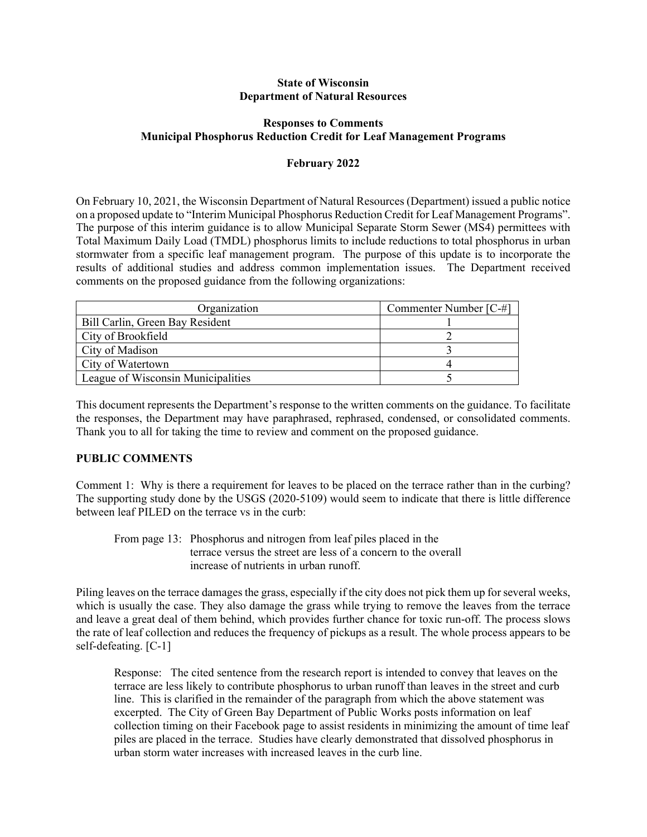#### **State of Wisconsin Department of Natural Resources**

## **Responses to Comments Municipal Phosphorus Reduction Credit for Leaf Management Programs**

### **February 2022**

On February 10, 2021, the Wisconsin Department of Natural Resources (Department) issued a public notice on a proposed update to "Interim Municipal Phosphorus Reduction Credit for Leaf Management Programs". The purpose of this interim guidance is to allow Municipal Separate Storm Sewer (MS4) permittees with Total Maximum Daily Load (TMDL) phosphorus limits to include reductions to total phosphorus in urban stormwater from a specific leaf management program. The purpose of this update is to incorporate the results of additional studies and address common implementation issues. The Department received comments on the proposed guidance from the following organizations:

| Organization                       | Commenter Number [C-#] |
|------------------------------------|------------------------|
| Bill Carlin, Green Bay Resident    |                        |
| City of Brookfield                 |                        |
| City of Madison                    |                        |
| City of Watertown                  |                        |
| League of Wisconsin Municipalities |                        |

This document represents the Department's response to the written comments on the guidance. To facilitate the responses, the Department may have paraphrased, rephrased, condensed, or consolidated comments. Thank you to all for taking the time to review and comment on the proposed guidance.

### **PUBLIC COMMENTS**

Comment 1: Why is there a requirement for leaves to be placed on the terrace rather than in the curbing? The supporting study done by the USGS (2020-5109) would seem to indicate that there is little difference between leaf PILED on the terrace vs in the curb:

 From page 13: Phosphorus and nitrogen from leaf piles placed in the terrace versus the street are less of a concern to the overall increase of nutrients in urban runoff.

Piling leaves on the terrace damages the grass, especially if the city does not pick them up for several weeks, which is usually the case. They also damage the grass while trying to remove the leaves from the terrace and leave a great deal of them behind, which provides further chance for toxic run-off. The process slows the rate of leaf collection and reduces the frequency of pickups as a result. The whole process appears to be self-defeating. [C-1]

Response: The cited sentence from the research report is intended to convey that leaves on the terrace are less likely to contribute phosphorus to urban runoff than leaves in the street and curb line. This is clarified in the remainder of the paragraph from which the above statement was excerpted. The City of Green Bay Department of Public Works posts information on leaf collection timing on their Facebook page to assist residents in minimizing the amount of time leaf piles are placed in the terrace. Studies have clearly demonstrated that dissolved phosphorus in urban storm water increases with increased leaves in the curb line.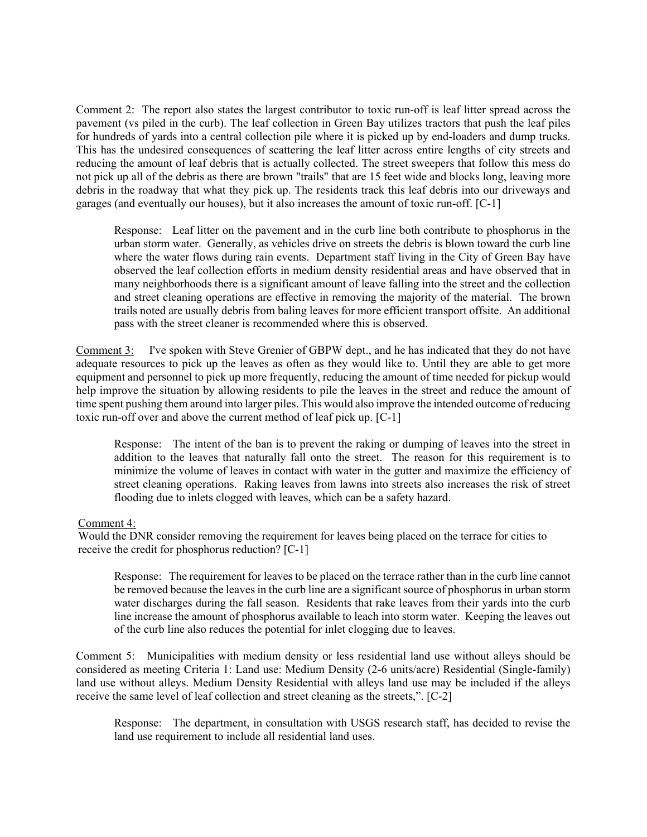Comment 2: The report also states the largest contributor to toxic run-off is leaf litter spread across the pavement (vs piled in the curb). The leaf collection in Green Bay utilizes tractors that push the leaf piles for hundreds of yards into a central collection pile where it is picked up by end-loaders and dump trucks. This has the undesired consequences of scattering the leaf litter across entire lengths of city streets and reducing the amount of leaf debris that is actually collected. The street sweepers that follow this mess do not pick up all of the debris as there are brown "trails" that are 15 feet wide and blocks long, leaving more debris in the roadway that what they pick up. The residents track this leaf debris into our driveways and garages (and eventually our houses), but it also increases the amount of toxic run-off. [C-1]

Response: Leaf litter on the pavement and in the curb line both contribute to phosphorus in the urban storm water. Generally, as vehicles drive on streets the debris is blown toward the curb line where the water flows during rain events. Department staff living in the City of Green Bay have observed the leaf collection efforts in medium density residential areas and have observed that in many neighborhoods there is a significant amount of leave falling into the street and the collection and street cleaning operations are effective in removing the majority of the material. The brown trails noted are usually debris from baling leaves for more efficient transport offsite. An additional pass with the street cleaner is recommended where this is observed.

Comment 3: I've spoken with Steve Grenier of GBPW dept., and he has indicated that they do not have adequate resources to pick up the leaves as often as they would like to. Until they are able to get more equipment and personnel to pick up more frequently, reducing the amount of time needed for pickup would help improve the situation by allowing residents to pile the leaves in the street and reduce the amount of time spent pushing them around into larger piles. This would also improve the intended outcome of reducing toxic run-off over and above the current method of leaf pick up. [C-1]

Response: The intent of the ban is to prevent the raking or dumping of leaves into the street in addition to the leaves that naturally fall onto the street. The reason for this requirement is to minimize the volume of leaves in contact with water in the gutter and maximize the efficiency of street cleaning operations. Raking leaves from lawns into streets also increases the risk of street flooding due to inlets clogged with leaves, which can be a safety hazard.

### Comment 4:

Would the DNR consider removing the requirement for leaves being placed on the terrace for cities to receive the credit for phosphorus reduction? [C-1]

Response: The requirement for leaves to be placed on the terrace rather than in the curb line cannot be removed because the leaves in the curb line are a significant source of phosphorus in urban storm water discharges during the fall season. Residents that rake leaves from their yards into the curb line increase the amount of phosphorus available to leach into storm water. Keeping the leaves out of the curb line also reduces the potential for inlet clogging due to leaves.

Comment 5: Municipalities with medium density or less residential land use without alleys should be considered as meeting Criteria 1: Land use: Medium Density (2-6 units/acre) Residential (Single-family) land use without alleys. Medium Density Residential with alleys land use may be included if the alleys receive the same level of leaf collection and street cleaning as the streets,". [C-2]

Response: The department, in consultation with USGS research staff, has decided to revise the land use requirement to include all residential land uses.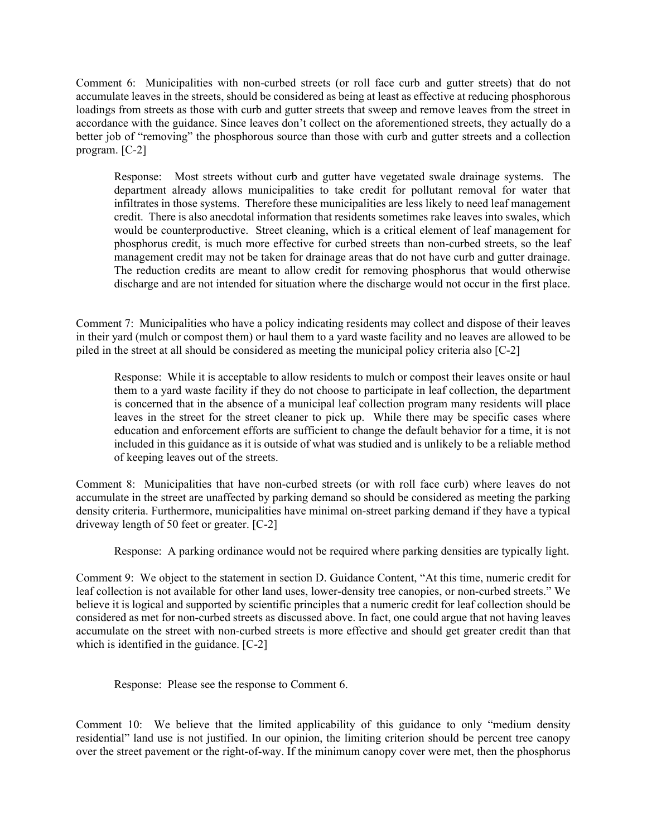Comment 6: Municipalities with non-curbed streets (or roll face curb and gutter streets) that do not accumulate leaves in the streets, should be considered as being at least as effective at reducing phosphorous loadings from streets as those with curb and gutter streets that sweep and remove leaves from the street in accordance with the guidance. Since leaves don't collect on the aforementioned streets, they actually do a better job of "removing" the phosphorous source than those with curb and gutter streets and a collection program. [C-2]

Response: Most streets without curb and gutter have vegetated swale drainage systems. The department already allows municipalities to take credit for pollutant removal for water that infiltrates in those systems. Therefore these municipalities are less likely to need leaf management credit. There is also anecdotal information that residents sometimes rake leaves into swales, which would be counterproductive. Street cleaning, which is a critical element of leaf management for phosphorus credit, is much more effective for curbed streets than non-curbed streets, so the leaf management credit may not be taken for drainage areas that do not have curb and gutter drainage. The reduction credits are meant to allow credit for removing phosphorus that would otherwise discharge and are not intended for situation where the discharge would not occur in the first place.

Comment 7: Municipalities who have a policy indicating residents may collect and dispose of their leaves in their yard (mulch or compost them) or haul them to a yard waste facility and no leaves are allowed to be piled in the street at all should be considered as meeting the municipal policy criteria also [C-2]

Response: While it is acceptable to allow residents to mulch or compost their leaves onsite or haul them to a yard waste facility if they do not choose to participate in leaf collection, the department is concerned that in the absence of a municipal leaf collection program many residents will place leaves in the street for the street cleaner to pick up. While there may be specific cases where education and enforcement efforts are sufficient to change the default behavior for a time, it is not included in this guidance as it is outside of what was studied and is unlikely to be a reliable method of keeping leaves out of the streets.

Comment 8: Municipalities that have non-curbed streets (or with roll face curb) where leaves do not accumulate in the street are unaffected by parking demand so should be considered as meeting the parking density criteria. Furthermore, municipalities have minimal on-street parking demand if they have a typical driveway length of 50 feet or greater. [C-2]

Response: A parking ordinance would not be required where parking densities are typically light.

Comment 9: We object to the statement in section D. Guidance Content, "At this time, numeric credit for leaf collection is not available for other land uses, lower-density tree canopies, or non-curbed streets." We believe it is logical and supported by scientific principles that a numeric credit for leaf collection should be considered as met for non-curbed streets as discussed above. In fact, one could argue that not having leaves accumulate on the street with non-curbed streets is more effective and should get greater credit than that which is identified in the guidance. [C-2]

Response: Please see the response to Comment 6.

Comment 10: We believe that the limited applicability of this guidance to only "medium density residential" land use is not justified. In our opinion, the limiting criterion should be percent tree canopy over the street pavement or the right-of-way. If the minimum canopy cover were met, then the phosphorus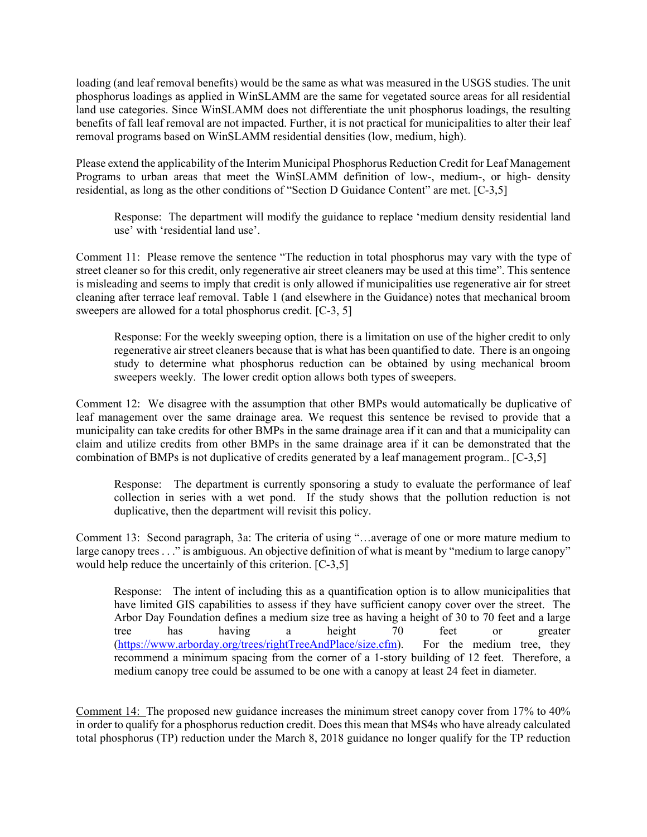loading (and leaf removal benefits) would be the same as what was measured in the USGS studies. The unit phosphorus loadings as applied in WinSLAMM are the same for vegetated source areas for all residential land use categories. Since WinSLAMM does not differentiate the unit phosphorus loadings, the resulting benefits of fall leaf removal are not impacted. Further, it is not practical for municipalities to alter their leaf removal programs based on WinSLAMM residential densities (low, medium, high).

Please extend the applicability of the Interim Municipal Phosphorus Reduction Credit for Leaf Management Programs to urban areas that meet the WinSLAMM definition of low-, medium-, or high- density residential, as long as the other conditions of "Section D Guidance Content" are met. [C-3,5]

Response: The department will modify the guidance to replace 'medium density residential land use' with 'residential land use'.

Comment 11: Please remove the sentence "The reduction in total phosphorus may vary with the type of street cleaner so for this credit, only regenerative air street cleaners may be used at this time". This sentence is misleading and seems to imply that credit is only allowed if municipalities use regenerative air for street cleaning after terrace leaf removal. Table 1 (and elsewhere in the Guidance) notes that mechanical broom sweepers are allowed for a total phosphorus credit. [C-3, 5]

Response: For the weekly sweeping option, there is a limitation on use of the higher credit to only regenerative air street cleaners because that is what has been quantified to date. There is an ongoing study to determine what phosphorus reduction can be obtained by using mechanical broom sweepers weekly. The lower credit option allows both types of sweepers.

Comment 12: We disagree with the assumption that other BMPs would automatically be duplicative of leaf management over the same drainage area. We request this sentence be revised to provide that a municipality can take credits for other BMPs in the same drainage area if it can and that a municipality can claim and utilize credits from other BMPs in the same drainage area if it can be demonstrated that the combination of BMPs is not duplicative of credits generated by a leaf management program.. [C-3,5]

Response: The department is currently sponsoring a study to evaluate the performance of leaf collection in series with a wet pond. If the study shows that the pollution reduction is not duplicative, then the department will revisit this policy.

Comment 13: Second paragraph, 3a: The criteria of using "…average of one or more mature medium to large canopy trees . . ." is ambiguous. An objective definition of what is meant by "medium to large canopy" would help reduce the uncertainly of this criterion. [C-3,5]

Response: The intent of including this as a quantification option is to allow municipalities that have limited GIS capabilities to assess if they have sufficient canopy cover over the street. The Arbor Day Foundation defines a medium size tree as having a height of 30 to 70 feet and a large tree has having a height 70 feet or greater (https://www.arborday.org/trees/rightTreeAndPlace/size.cfm). For the medium tree, they recommend a minimum spacing from the corner of a 1-story building of 12 feet. Therefore, a medium canopy tree could be assumed to be one with a canopy at least 24 feet in diameter.

Comment 14: The proposed new guidance increases the minimum street canopy cover from 17% to 40% in order to qualify for a phosphorus reduction credit. Does this mean that MS4s who have already calculated total phosphorus (TP) reduction under the March 8, 2018 guidance no longer qualify for the TP reduction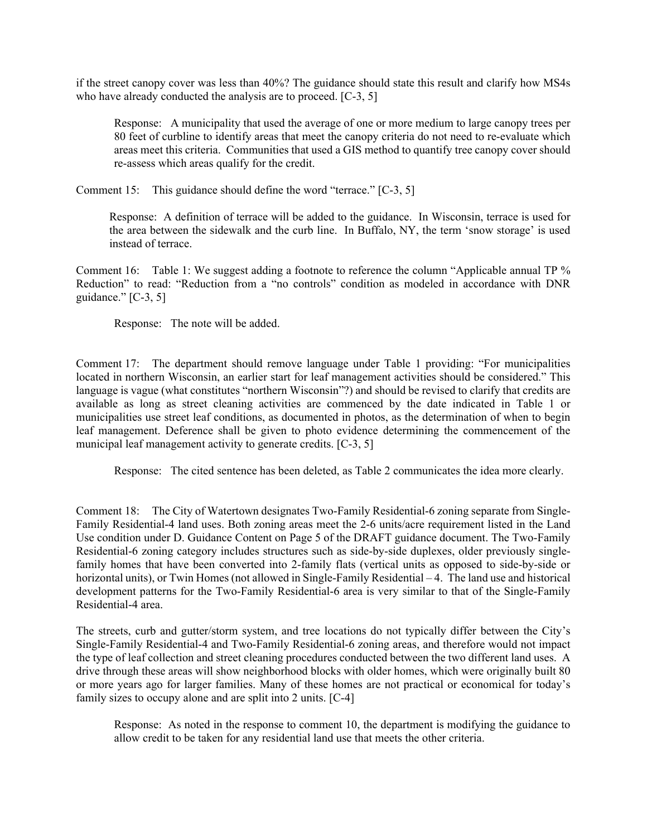if the street canopy cover was less than 40%? The guidance should state this result and clarify how MS4s who have already conducted the analysis are to proceed. [C-3, 5]

Response: A municipality that used the average of one or more medium to large canopy trees per 80 feet of curbline to identify areas that meet the canopy criteria do not need to re-evaluate which areas meet this criteria. Communities that used a GIS method to quantify tree canopy cover should re-assess which areas qualify for the credit.

Comment 15: This guidance should define the word "terrace." [C-3, 5]

Response: A definition of terrace will be added to the guidance. In Wisconsin, terrace is used for the area between the sidewalk and the curb line. In Buffalo, NY, the term 'snow storage' is used instead of terrace.

Comment 16: Table 1: We suggest adding a footnote to reference the column "Applicable annual TP % Reduction" to read: "Reduction from a "no controls" condition as modeled in accordance with DNR guidance."  $[C-3, 5]$ 

Response: The note will be added.

Comment 17: The department should remove language under Table 1 providing: "For municipalities located in northern Wisconsin, an earlier start for leaf management activities should be considered." This language is vague (what constitutes "northern Wisconsin"?) and should be revised to clarify that credits are available as long as street cleaning activities are commenced by the date indicated in Table 1 or municipalities use street leaf conditions, as documented in photos, as the determination of when to begin leaf management. Deference shall be given to photo evidence determining the commencement of the municipal leaf management activity to generate credits. [C-3, 5]

Response: The cited sentence has been deleted, as Table 2 communicates the idea more clearly.

Comment 18: The City of Watertown designates Two-Family Residential-6 zoning separate from Single-Family Residential-4 land uses. Both zoning areas meet the 2-6 units/acre requirement listed in the Land Use condition under D. Guidance Content on Page 5 of the DRAFT guidance document. The Two-Family Residential-6 zoning category includes structures such as side-by-side duplexes, older previously singlefamily homes that have been converted into 2-family flats (vertical units as opposed to side-by-side or horizontal units), or Twin Homes (not allowed in Single-Family Residential – 4. The land use and historical development patterns for the Two-Family Residential-6 area is very similar to that of the Single-Family Residential-4 area.

The streets, curb and gutter/storm system, and tree locations do not typically differ between the City's Single-Family Residential-4 and Two-Family Residential-6 zoning areas, and therefore would not impact the type of leaf collection and street cleaning procedures conducted between the two different land uses. A drive through these areas will show neighborhood blocks with older homes, which were originally built 80 or more years ago for larger families. Many of these homes are not practical or economical for today's family sizes to occupy alone and are split into 2 units. [C-4]

Response: As noted in the response to comment 10, the department is modifying the guidance to allow credit to be taken for any residential land use that meets the other criteria.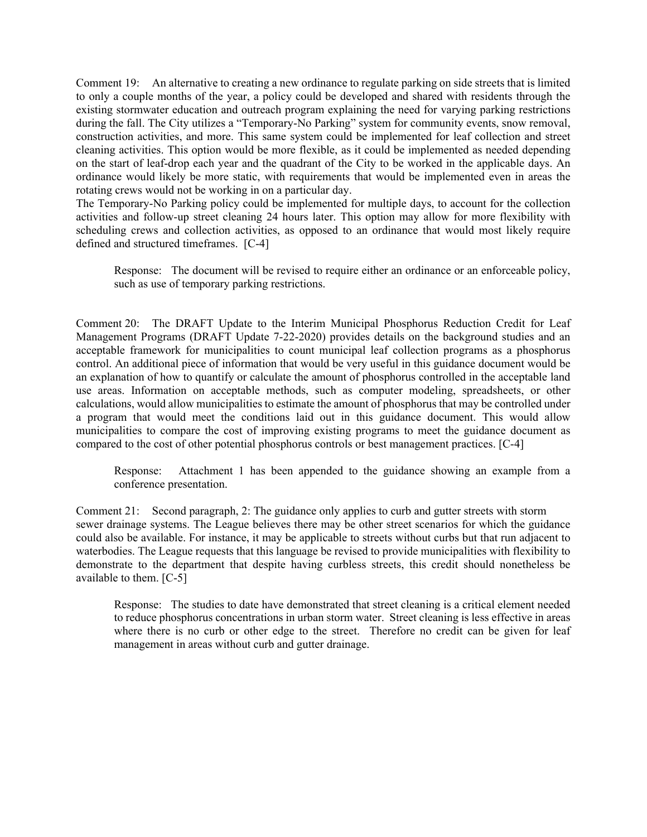Comment 19: An alternative to creating a new ordinance to regulate parking on side streets that is limited to only a couple months of the year, a policy could be developed and shared with residents through the existing stormwater education and outreach program explaining the need for varying parking restrictions during the fall. The City utilizes a "Temporary-No Parking" system for community events, snow removal, construction activities, and more. This same system could be implemented for leaf collection and street cleaning activities. This option would be more flexible, as it could be implemented as needed depending on the start of leaf-drop each year and the quadrant of the City to be worked in the applicable days. An ordinance would likely be more static, with requirements that would be implemented even in areas the rotating crews would not be working in on a particular day.

The Temporary-No Parking policy could be implemented for multiple days, to account for the collection activities and follow-up street cleaning 24 hours later. This option may allow for more flexibility with scheduling crews and collection activities, as opposed to an ordinance that would most likely require defined and structured timeframes. [C-4]

Response: The document will be revised to require either an ordinance or an enforceable policy, such as use of temporary parking restrictions.

Comment 20: The DRAFT Update to the Interim Municipal Phosphorus Reduction Credit for Leaf Management Programs (DRAFT Update 7-22-2020) provides details on the background studies and an acceptable framework for municipalities to count municipal leaf collection programs as a phosphorus control. An additional piece of information that would be very useful in this guidance document would be an explanation of how to quantify or calculate the amount of phosphorus controlled in the acceptable land use areas. Information on acceptable methods, such as computer modeling, spreadsheets, or other calculations, would allow municipalities to estimate the amount of phosphorus that may be controlled under a program that would meet the conditions laid out in this guidance document. This would allow municipalities to compare the cost of improving existing programs to meet the guidance document as compared to the cost of other potential phosphorus controls or best management practices. [C-4]

Response: Attachment 1 has been appended to the guidance showing an example from a conference presentation.

Comment 21: Second paragraph, 2: The guidance only applies to curb and gutter streets with storm sewer drainage systems. The League believes there may be other street scenarios for which the guidance could also be available. For instance, it may be applicable to streets without curbs but that run adjacent to waterbodies. The League requests that this language be revised to provide municipalities with flexibility to demonstrate to the department that despite having curbless streets, this credit should nonetheless be available to them. [C-5]

Response: The studies to date have demonstrated that street cleaning is a critical element needed to reduce phosphorus concentrations in urban storm water. Street cleaning is less effective in areas where there is no curb or other edge to the street. Therefore no credit can be given for leaf management in areas without curb and gutter drainage.